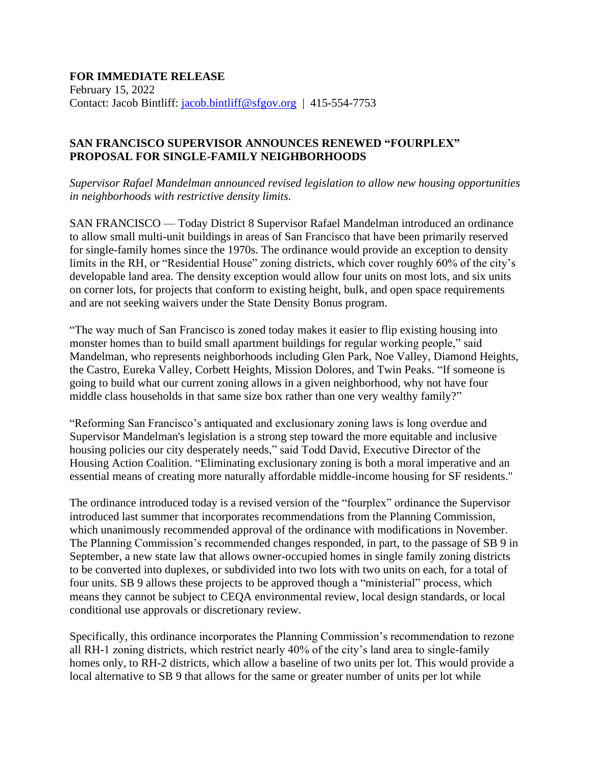## **FOR IMMEDIATE RELEASE** February 15, 2022 Contact: Jacob Bintliff: [jacob.bintliff@sfgov.org](mailto:jacob.bintliff@sfgov.org) | 415-554-7753

## **SAN FRANCISCO SUPERVISOR ANNOUNCES RENEWED "FOURPLEX" PROPOSAL FOR SINGLE-FAMILY NEIGHBORHOODS**

*Supervisor Rafael Mandelman announced revised legislation to allow new housing opportunities in neighborhoods with restrictive density limits.*

SAN FRANCISCO — Today District 8 Supervisor Rafael Mandelman introduced an ordinance to allow small multi-unit buildings in areas of San Francisco that have been primarily reserved for single-family homes since the 1970s. The ordinance would provide an exception to density limits in the RH, or "Residential House" zoning districts, which cover roughly 60% of the city's developable land area. The density exception would allow four units on most lots, and six units on corner lots, for projects that conform to existing height, bulk, and open space requirements and are not seeking waivers under the State Density Bonus program.

"The way much of San Francisco is zoned today makes it easier to flip existing housing into monster homes than to build small apartment buildings for regular working people," said Mandelman, who represents neighborhoods including Glen Park, Noe Valley, Diamond Heights, the Castro, Eureka Valley, Corbett Heights, Mission Dolores, and Twin Peaks. "If someone is going to build what our current zoning allows in a given neighborhood, why not have four middle class households in that same size box rather than one very wealthy family?"

"Reforming San Francisco's antiquated and exclusionary zoning laws is long overdue and Supervisor Mandelman's legislation is a strong step toward the more equitable and inclusive housing policies our city desperately needs," said Todd David, Executive Director of the Housing Action Coalition. "Eliminating exclusionary zoning is both a moral imperative and an essential means of creating more naturally affordable middle-income housing for SF residents."

The ordinance introduced today is a revised version of the "fourplex" ordinance the Supervisor introduced last summer that incorporates recommendations from the Planning Commission, which unanimously recommended approval of the ordinance with modifications in November. The Planning Commission's recommended changes responded, in part, to the passage of SB 9 in September, a new state law that allows owner-occupied homes in single family zoning districts to be converted into duplexes, or subdivided into two lots with two units on each, for a total of four units. SB 9 allows these projects to be approved though a "ministerial" process, which means they cannot be subject to CEQA environmental review, local design standards, or local conditional use approvals or discretionary review.

Specifically, this ordinance incorporates the Planning Commission's recommendation to rezone all RH-1 zoning districts, which restrict nearly 40% of the city's land area to single-family homes only, to RH-2 districts, which allow a baseline of two units per lot. This would provide a local alternative to SB 9 that allows for the same or greater number of units per lot while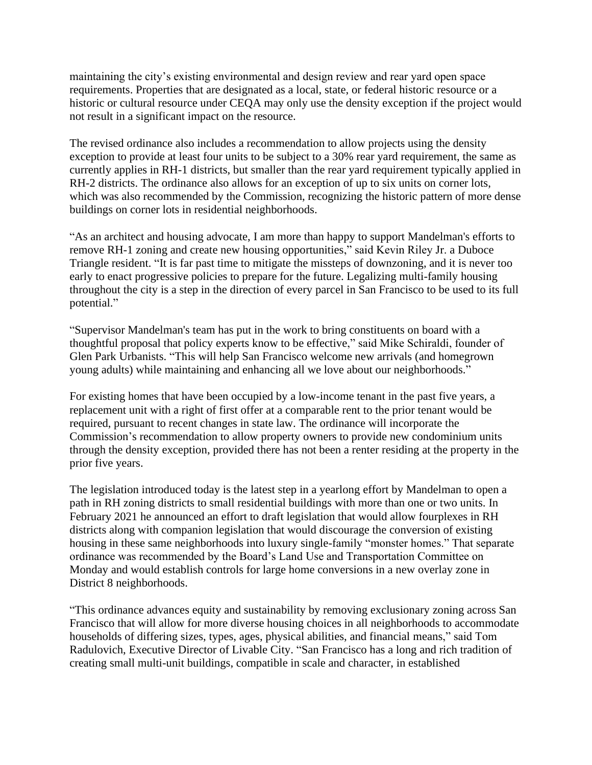maintaining the city's existing environmental and design review and rear yard open space requirements. Properties that are designated as a local, state, or federal historic resource or a historic or cultural resource under CEQA may only use the density exception if the project would not result in a significant impact on the resource.

The revised ordinance also includes a recommendation to allow projects using the density exception to provide at least four units to be subject to a 30% rear yard requirement, the same as currently applies in RH-1 districts, but smaller than the rear yard requirement typically applied in RH-2 districts. The ordinance also allows for an exception of up to six units on corner lots, which was also recommended by the Commission, recognizing the historic pattern of more dense buildings on corner lots in residential neighborhoods.

"As an architect and housing advocate, I am more than happy to support Mandelman's efforts to remove RH-1 zoning and create new housing opportunities," said Kevin Riley Jr. a Duboce Triangle resident. "It is far past time to mitigate the missteps of downzoning, and it is never too early to enact progressive policies to prepare for the future. Legalizing multi-family housing throughout the city is a step in the direction of every parcel in San Francisco to be used to its full potential."

"Supervisor Mandelman's team has put in the work to bring constituents on board with a thoughtful proposal that policy experts know to be effective," said Mike Schiraldi, founder of Glen Park Urbanists. "This will help San Francisco welcome new arrivals (and homegrown young adults) while maintaining and enhancing all we love about our neighborhoods."

For existing homes that have been occupied by a low-income tenant in the past five years, a replacement unit with a right of first offer at a comparable rent to the prior tenant would be required, pursuant to recent changes in state law. The ordinance will incorporate the Commission's recommendation to allow property owners to provide new condominium units through the density exception, provided there has not been a renter residing at the property in the prior five years.

The legislation introduced today is the latest step in a yearlong effort by Mandelman to open a path in RH zoning districts to small residential buildings with more than one or two units. In February 2021 he announced an effort to draft legislation that would allow fourplexes in RH districts along with companion legislation that would discourage the conversion of existing housing in these same neighborhoods into luxury single-family "monster homes." That separate ordinance was recommended by the Board's Land Use and Transportation Committee on Monday and would establish controls for large home conversions in a new overlay zone in District 8 neighborhoods.

"This ordinance advances equity and sustainability by removing exclusionary zoning across San Francisco that will allow for more diverse housing choices in all neighborhoods to accommodate households of differing sizes, types, ages, physical abilities, and financial means," said Tom Radulovich, Executive Director of Livable City. "San Francisco has a long and rich tradition of creating small multi-unit buildings, compatible in scale and character, in established